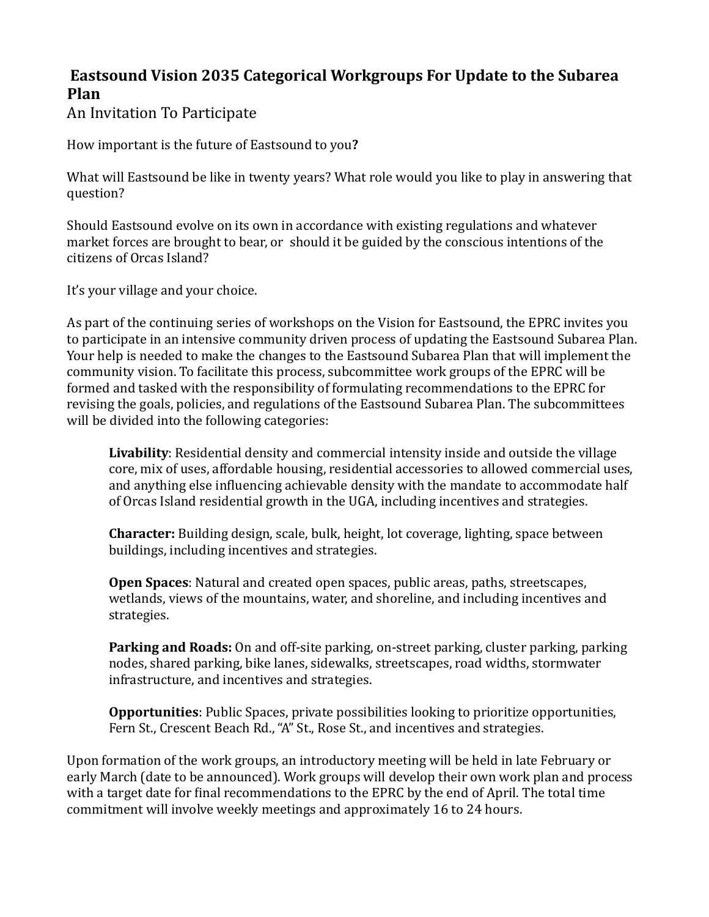## **Eastsound Vision 2035 Categorical Workgroups For Update to the Subarea Plan**

An Invitation To Participate

How important is the future of Eastsound to you?

What will Eastsound be like in twenty years? What role would you like to play in answering that question? 

Should Eastsound evolve on its own in accordance with existing regulations and whatever market forces are brought to bear, or should it be guided by the conscious intentions of the citizens of Orcas Island?

It's your village and your choice.

As part of the continuing series of workshops on the Vision for Eastsound, the EPRC invites you to participate in an intensive community driven process of updating the Eastsound Subarea Plan. Your help is needed to make the changes to the Eastsound Subarea Plan that will implement the community vision. To facilitate this process, subcommittee work groups of the EPRC will be formed and tasked with the responsibility of formulating recommendations to the EPRC for revising the goals, policies, and regulations of the Eastsound Subarea Plan. The subcommittees will be divided into the following categories:

**Livability**: Residential density and commercial intensity inside and outside the village core, mix of uses, affordable housing, residential accessories to allowed commercial uses, and anything else influencing achievable density with the mandate to accommodate half of Orcas Island residential growth in the UGA, including incentives and strategies.

**Character:** Building design, scale, bulk, height, lot coverage, lighting, space between buildings, including incentives and strategies.

**Open Spaces**: Natural and created open spaces, public areas, paths, streetscapes, wetlands, views of the mountains, water, and shoreline, and including incentives and strategies. 

**Parking and Roads:** On and off-site parking, on-street parking, cluster parking, parking nodes, shared parking, bike lanes, sidewalks, streetscapes, road widths, stormwater infrastructure, and incentives and strategies.

**Opportunities**: Public Spaces, private possibilities looking to prioritize opportunities, Fern St., Crescent Beach Rd., "A" St., Rose St., and incentives and strategies.

Upon formation of the work groups, an introductory meeting will be held in late February or early March (date to be announced). Work groups will develop their own work plan and process with a target date for final recommendations to the EPRC by the end of April. The total time commitment will involve weekly meetings and approximately 16 to 24 hours.